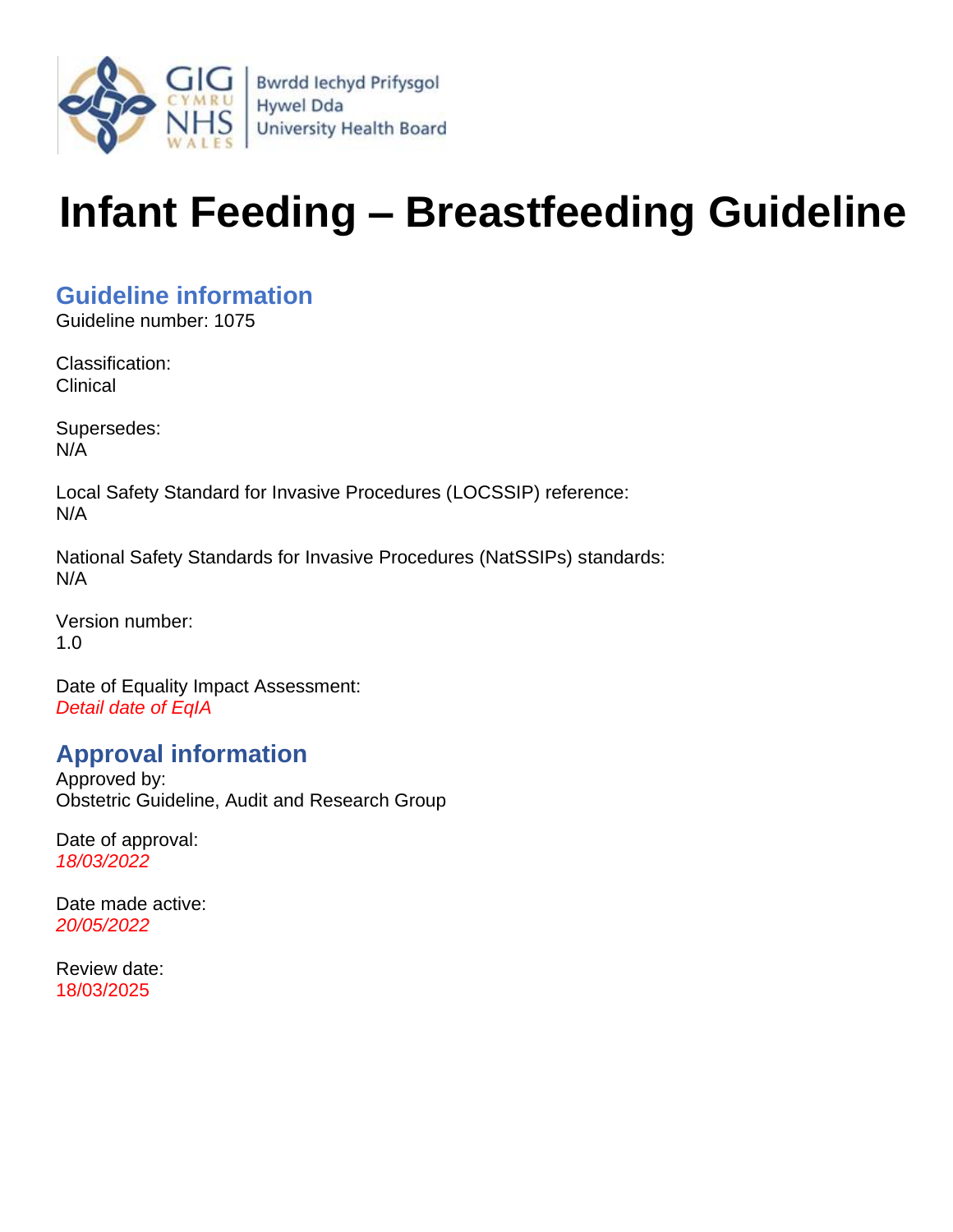

# **Infant Feeding – Breastfeeding Guideline**

#### <span id="page-0-0"></span>**Guideline information**

Guideline number: 1075

Classification: **Clinical** 

Supersedes: N/A

Local Safety Standard for Invasive Procedures (LOCSSIP) reference: N/A

National Safety Standards for Invasive Procedures (NatSSIPs) standards: N/A

Version number: 1.0

Date of Equality Impact Assessment: *Detail date of EqIA*

#### <span id="page-0-1"></span>**Approval information**

Approved by: Obstetric Guideline, Audit and Research Group

Date of approval: *18/03/2022*

Date made active: *20/05/2022*

Review date: 18/03/2025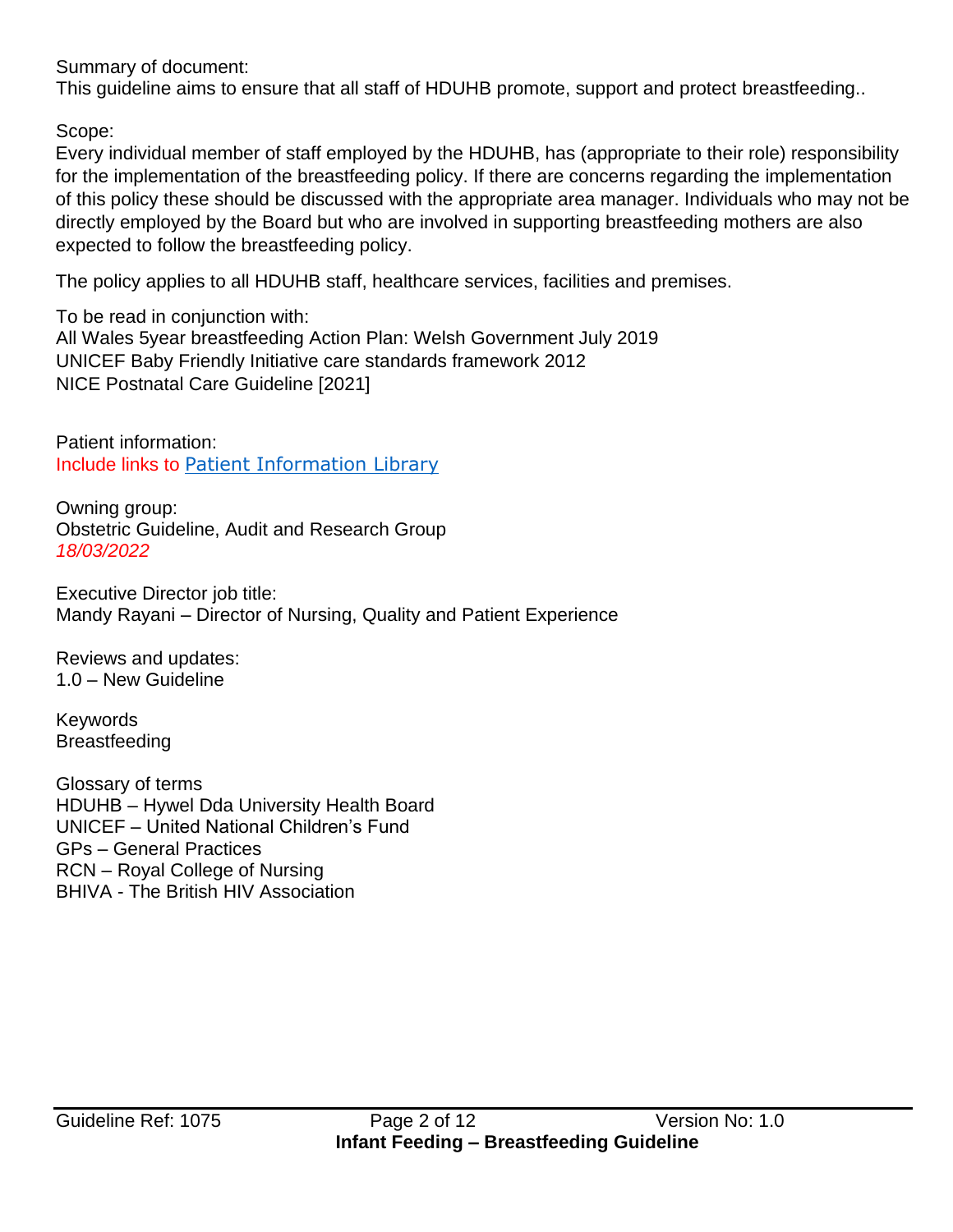Summary of document:

This guideline aims to ensure that all staff of HDUHB promote, support and protect breastfeeding..

Scope:

Every individual member of staff employed by the HDUHB, has (appropriate to their role) responsibility for the implementation of the breastfeeding policy. If there are concerns regarding the implementation of this policy these should be discussed with the appropriate area manager. Individuals who may not be directly employed by the Board but who are involved in supporting breastfeeding mothers are also expected to follow the breastfeeding policy.

The policy applies to all HDUHB staff, healthcare services, facilities and premises.

To be read in conjunction with: All Wales 5year breastfeeding Action Plan: Welsh Government July 2019 UNICEF Baby Friendly Initiative care standards framework 2012 NICE Postnatal Care Guideline [2021]

Patient information: Include links to [Patient Information Library](http://howis.wales.nhs.uk/sitesplus/862/page/60265)

Owning group: Obstetric Guideline, Audit and Research Group *18/03/2022*

Executive Director job title: Mandy Rayani – Director of Nursing, Quality and Patient Experience

Reviews and updates: 1.0 – New Guideline

Keywords Breastfeeding

Glossary of terms HDUHB – Hywel Dda University Health Board UNICEF – United National Children's Fund GPs – General Practices RCN – Royal College of Nursing BHIVA - The British HIV Association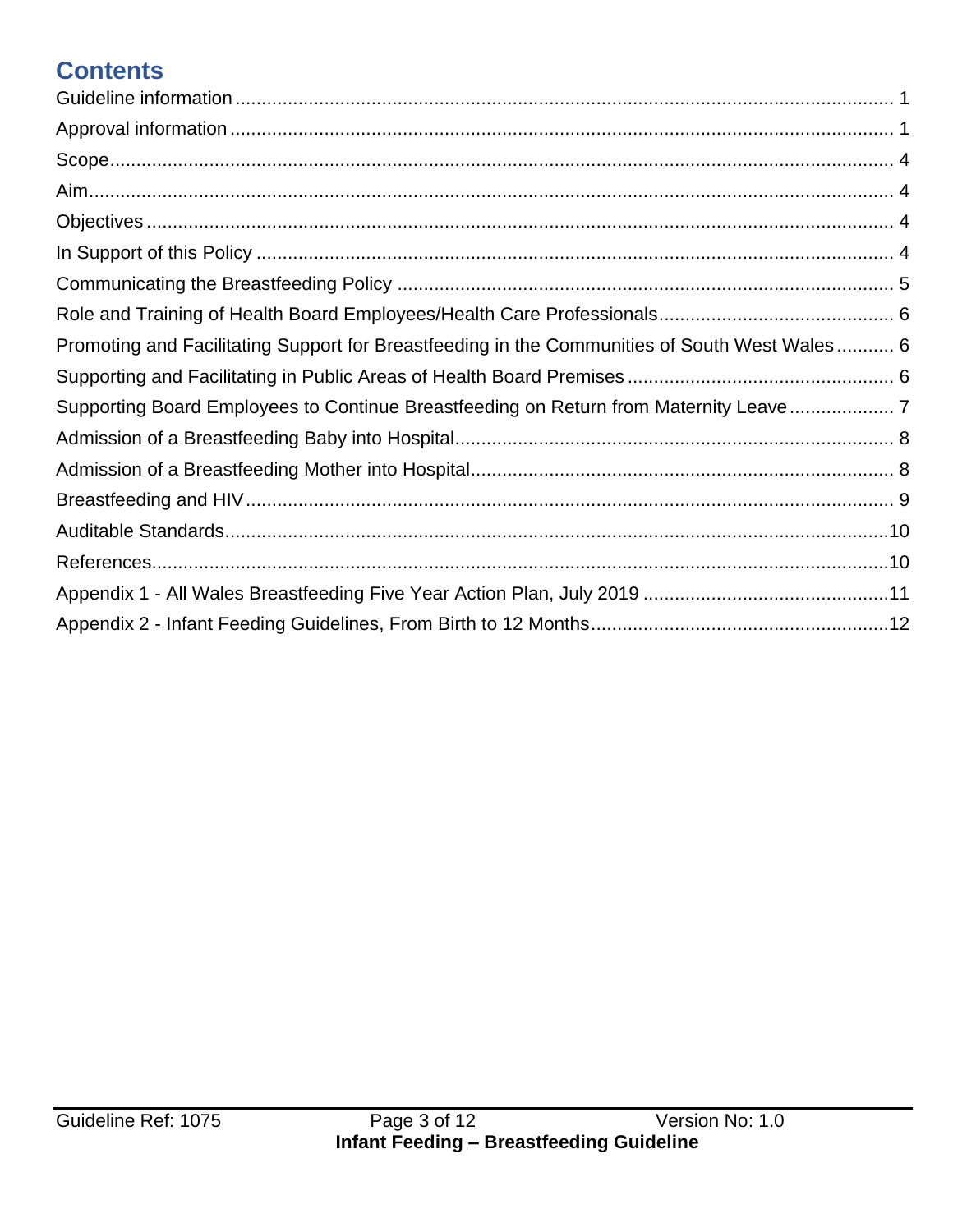## **Contents**

| Promoting and Facilitating Support for Breastfeeding in the Communities of South West Wales 6 |  |
|-----------------------------------------------------------------------------------------------|--|
|                                                                                               |  |
| Supporting Board Employees to Continue Breastfeeding on Return from Maternity Leave           |  |
|                                                                                               |  |
|                                                                                               |  |
|                                                                                               |  |
|                                                                                               |  |
|                                                                                               |  |
|                                                                                               |  |
|                                                                                               |  |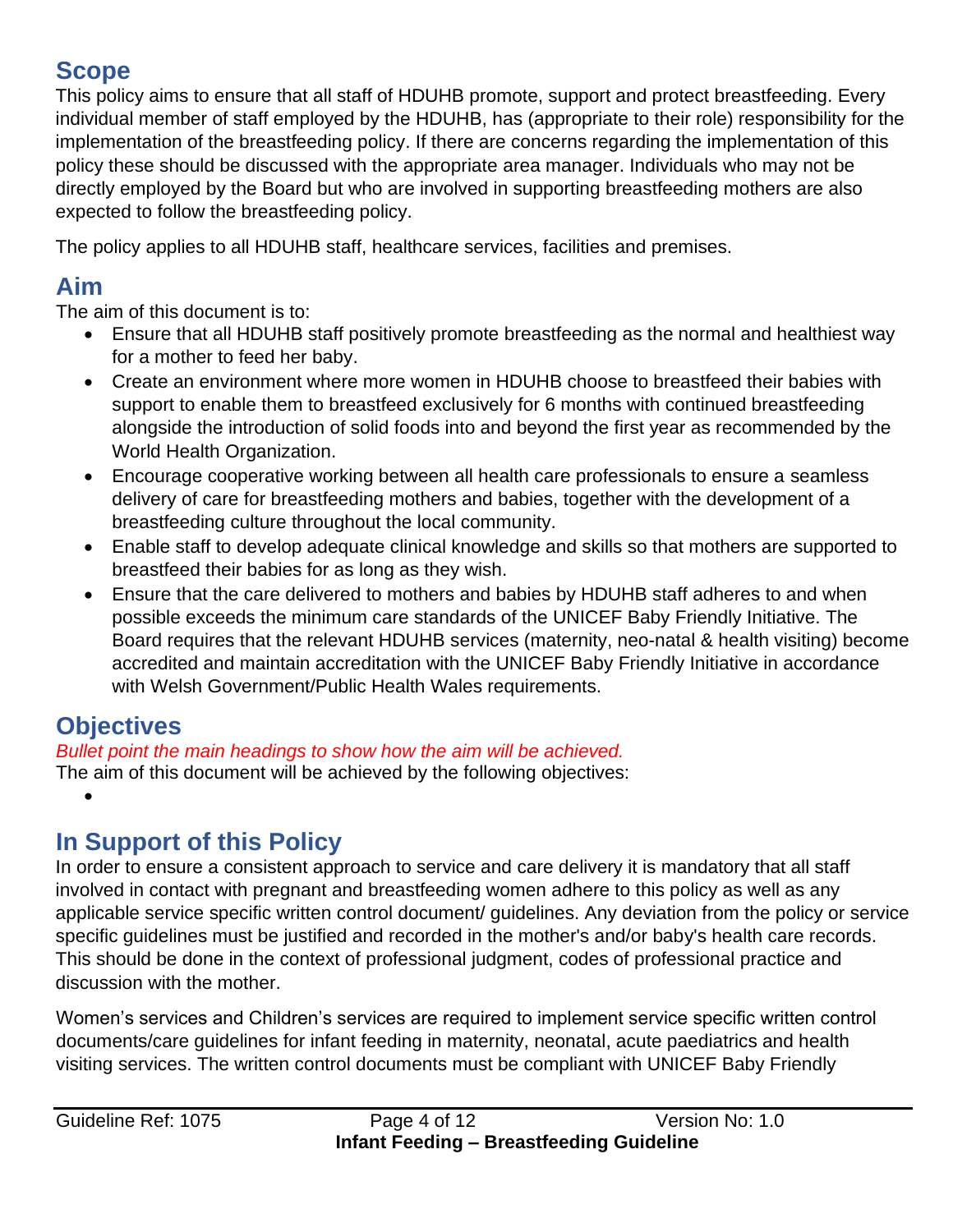#### <span id="page-3-0"></span>**Scope**

This policy aims to ensure that all staff of HDUHB promote, support and protect breastfeeding. Every individual member of staff employed by the HDUHB, has (appropriate to their role) responsibility for the implementation of the breastfeeding policy. If there are concerns regarding the implementation of this policy these should be discussed with the appropriate area manager. Individuals who may not be directly employed by the Board but who are involved in supporting breastfeeding mothers are also expected to follow the breastfeeding policy.

The policy applies to all HDUHB staff, healthcare services, facilities and premises.

## <span id="page-3-1"></span>**Aim**

The aim of this document is to:

- Ensure that all HDUHB staff positively promote breastfeeding as the normal and healthiest way for a mother to feed her baby.
- Create an environment where more women in HDUHB choose to breastfeed their babies with support to enable them to breastfeed exclusively for 6 months with continued breastfeeding alongside the introduction of solid foods into and beyond the first year as recommended by the World Health Organization.
- Encourage cooperative working between all health care professionals to ensure a seamless delivery of care for breastfeeding mothers and babies, together with the development of a breastfeeding culture throughout the local community.
- Enable staff to develop adequate clinical knowledge and skills so that mothers are supported to breastfeed their babies for as long as they wish.
- Ensure that the care delivered to mothers and babies by HDUHB staff adheres to and when possible exceeds the minimum care standards of the UNICEF Baby Friendly Initiative. The Board requires that the relevant HDUHB services (maternity, neo-natal & health visiting) become accredited and maintain accreditation with the UNICEF Baby Friendly Initiative in accordance with Welsh Government/Public Health Wales requirements.

## <span id="page-3-2"></span>**Objectives**

•

*Bullet point the main headings to show how the aim will be achieved.*

The aim of this document will be achieved by the following objectives:

## <span id="page-3-3"></span>**In Support of this Policy**

In order to ensure a consistent approach to service and care delivery it is mandatory that all staff involved in contact with pregnant and breastfeeding women adhere to this policy as well as any applicable service specific written control document/ guidelines. Any deviation from the policy or service specific guidelines must be justified and recorded in the mother's and/or baby's health care records. This should be done in the context of professional judgment, codes of professional practice and discussion with the mother.

Women's services and Children's services are required to implement service specific written control documents/care guidelines for infant feeding in maternity, neonatal, acute paediatrics and health visiting services. The written control documents must be compliant with UNICEF Baby Friendly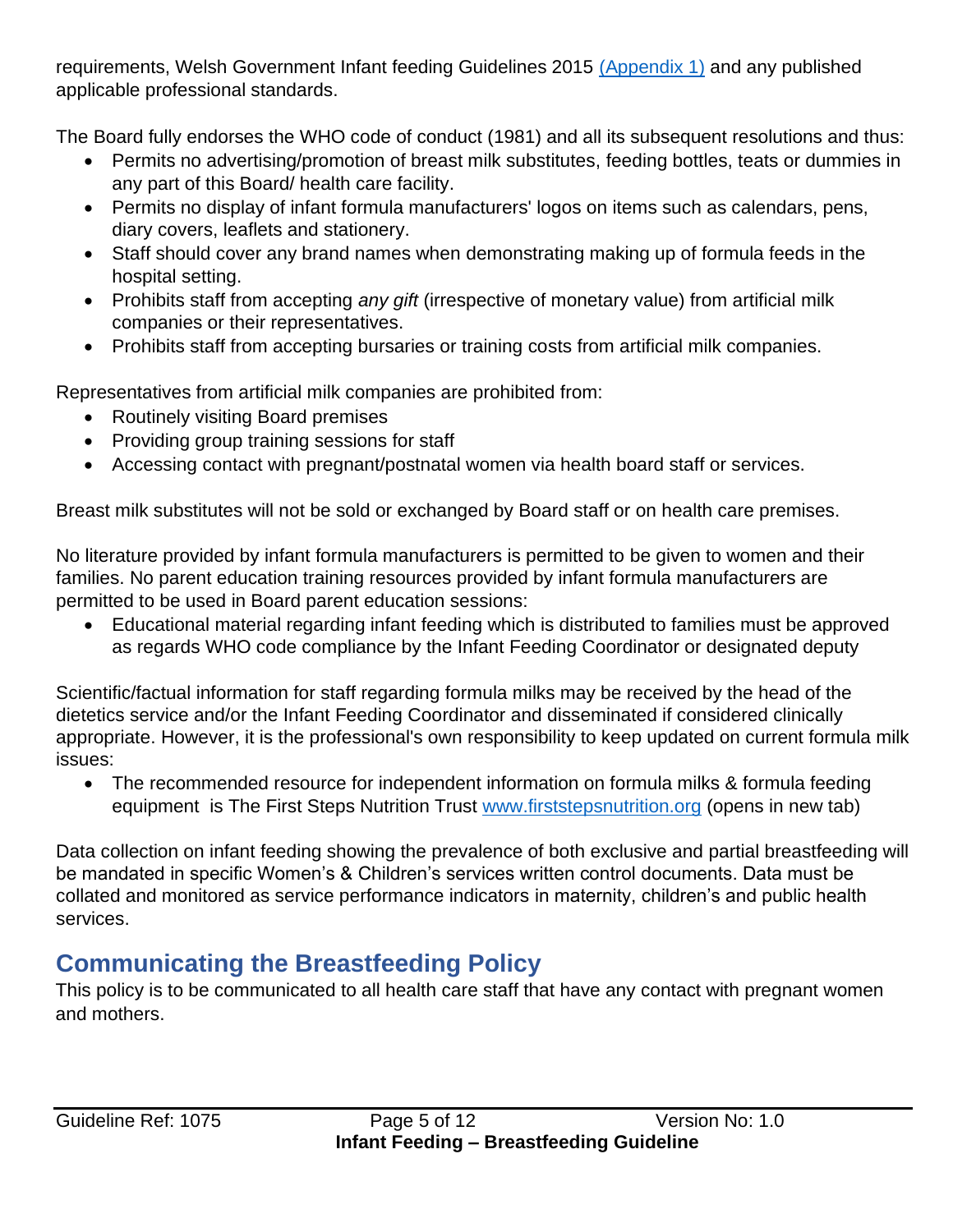requirements, Welsh Government Infant feeding Guidelines 2015 [\(Appendix 1\)](#page-10-0) and any published applicable professional standards.

The Board fully endorses the WHO code of conduct (1981) and all its subsequent resolutions and thus:

- Permits no advertising/promotion of breast milk substitutes, feeding bottles, teats or dummies in any part of this Board/ health care facility.
- Permits no display of infant formula manufacturers' logos on items such as calendars, pens, diary covers, leaflets and stationery.
- Staff should cover any brand names when demonstrating making up of formula feeds in the hospital setting.
- Prohibits staff from accepting *any gift* (irrespective of monetary value) from artificial milk companies or their representatives.
- Prohibits staff from accepting bursaries or training costs from artificial milk companies.

Representatives from artificial milk companies are prohibited from:

- Routinely visiting Board premises
- Providing group training sessions for staff
- Accessing contact with pregnant/postnatal women via health board staff or services.

Breast milk substitutes will not be sold or exchanged by Board staff or on health care premises.

No literature provided by infant formula manufacturers is permitted to be given to women and their families. No parent education training resources provided by infant formula manufacturers are permitted to be used in Board parent education sessions:

• Educational material regarding infant feeding which is distributed to families must be approved as regards WHO code compliance by the Infant Feeding Coordinator or designated deputy

Scientific/factual information for staff regarding formula milks may be received by the head of the dietetics service and/or the Infant Feeding Coordinator and disseminated if considered clinically appropriate. However, it is the professional's own responsibility to keep updated on current formula milk issues:

• The recommended resource for independent information on formula milks & formula feeding equipment is The First Steps Nutrition Trust [www.firststepsnutrition.org](http://www.firststepsnutrition.org/) (opens in new tab)

Data collection on infant feeding showing the prevalence of both exclusive and partial breastfeeding will be mandated in specific Women's & Children's services written control documents. Data must be collated and monitored as service performance indicators in maternity, children's and public health services.

## <span id="page-4-0"></span>**Communicating the Breastfeeding Policy**

This policy is to be communicated to all health care staff that have any contact with pregnant women and mothers.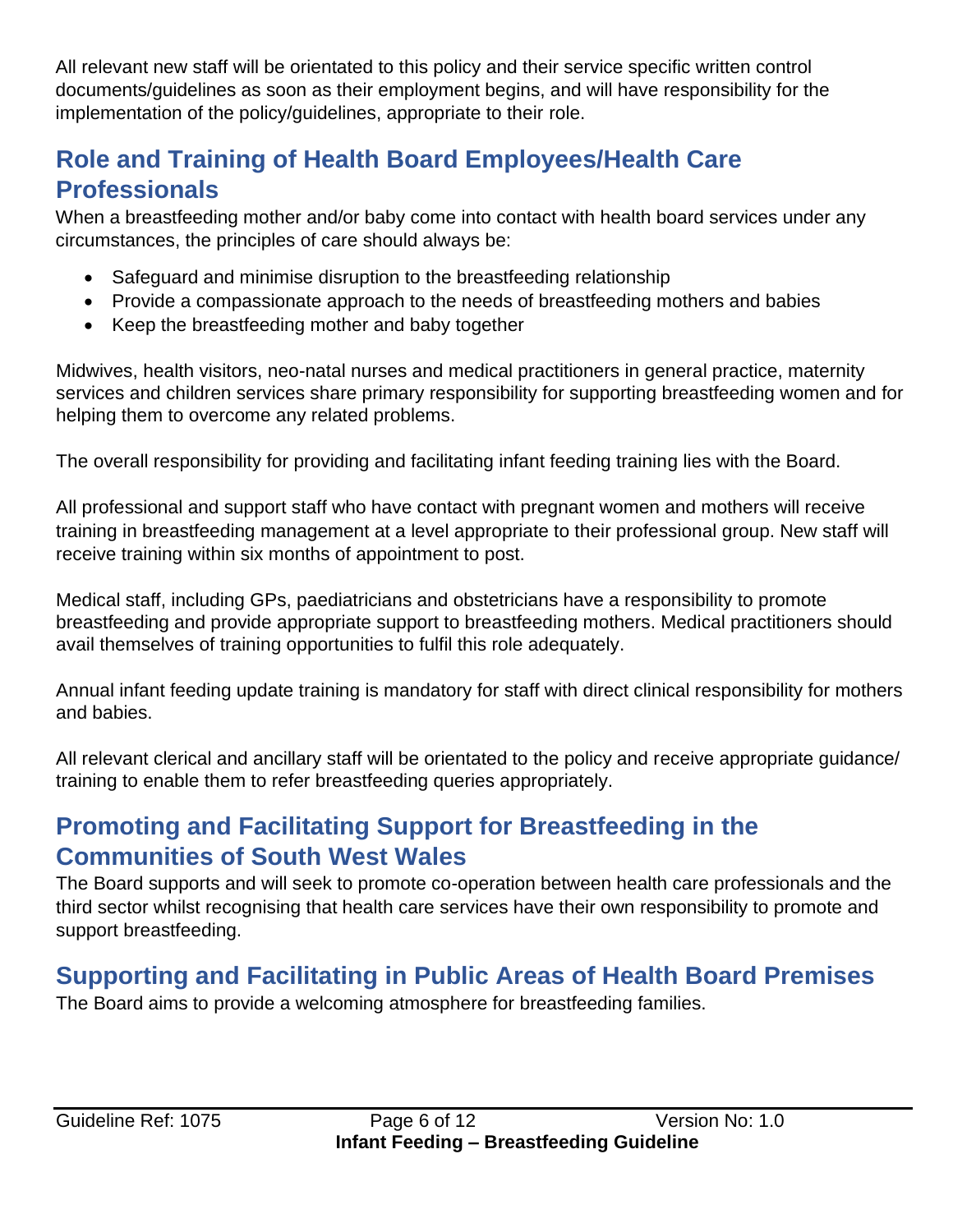All relevant new staff will be orientated to this policy and their service specific written control documents/guidelines as soon as their employment begins, and will have responsibility for the implementation of the policy/guidelines, appropriate to their role.

#### <span id="page-5-0"></span>**Role and Training of Health Board Employees/Health Care Professionals**

When a breastfeeding mother and/or baby come into contact with health board services under any circumstances, the principles of care should always be:

- Safeguard and minimise disruption to the breastfeeding relationship
- Provide a compassionate approach to the needs of breastfeeding mothers and babies
- Keep the breastfeeding mother and baby together

Midwives, health visitors, neo-natal nurses and medical practitioners in general practice, maternity services and children services share primary responsibility for supporting breastfeeding women and for helping them to overcome any related problems.

The overall responsibility for providing and facilitating infant feeding training lies with the Board.

All professional and support staff who have contact with pregnant women and mothers will receive training in breastfeeding management at a level appropriate to their professional group. New staff will receive training within six months of appointment to post.

Medical staff, including GPs, paediatricians and obstetricians have a responsibility to promote breastfeeding and provide appropriate support to breastfeeding mothers. Medical practitioners should avail themselves of training opportunities to fulfil this role adequately.

Annual infant feeding update training is mandatory for staff with direct clinical responsibility for mothers and babies.

All relevant clerical and ancillary staff will be orientated to the policy and receive appropriate guidance/ training to enable them to refer breastfeeding queries appropriately.

## <span id="page-5-1"></span>**Promoting and Facilitating Support for Breastfeeding in the Communities of South West Wales**

The Board supports and will seek to promote co-operation between health care professionals and the third sector whilst recognising that health care services have their own responsibility to promote and support breastfeeding.

## <span id="page-5-2"></span>**Supporting and Facilitating in Public Areas of Health Board Premises**

The Board aims to provide a welcoming atmosphere for breastfeeding families.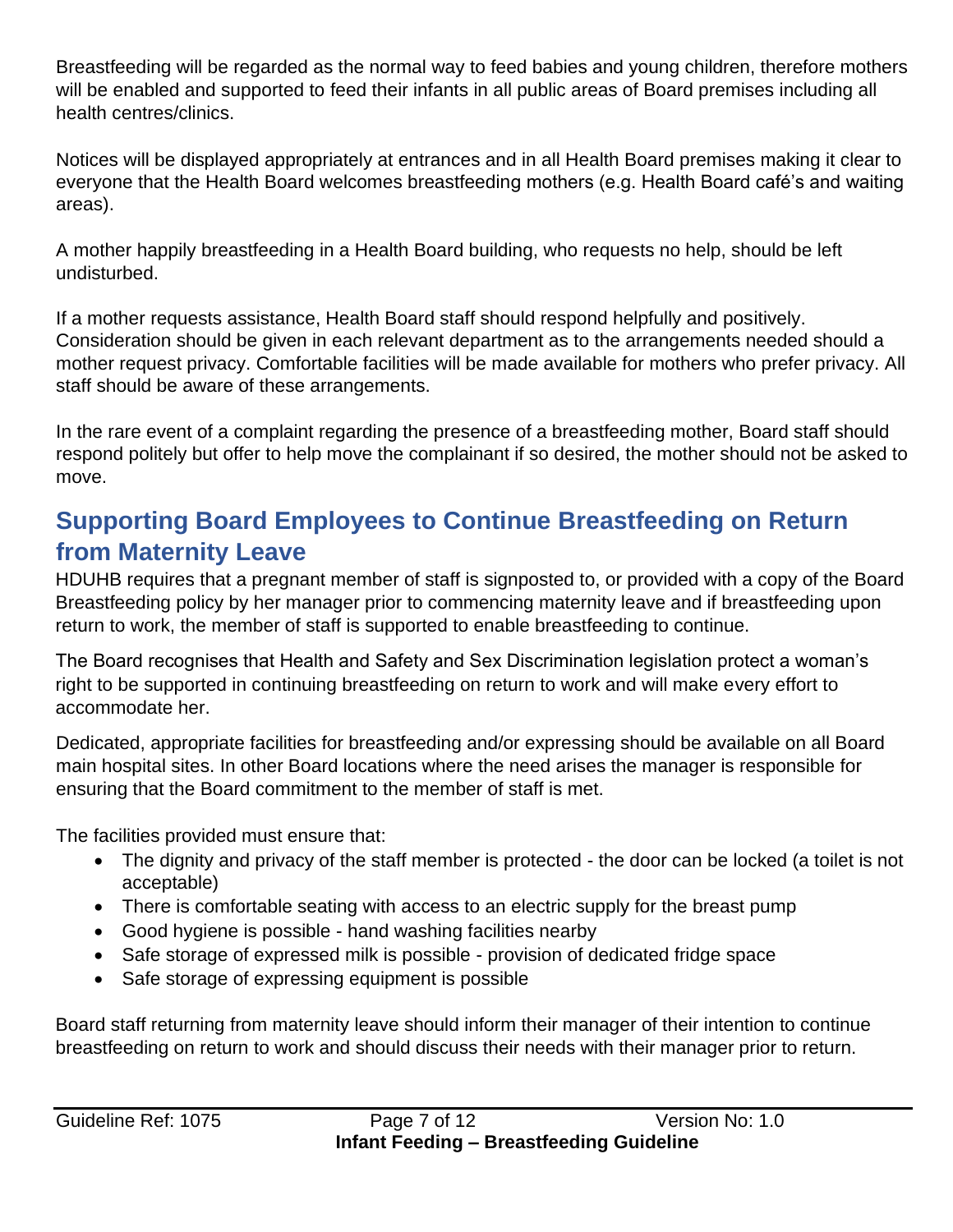Breastfeeding will be regarded as the normal way to feed babies and young children, therefore mothers will be enabled and supported to feed their infants in all public areas of Board premises including all health centres/clinics.

Notices will be displayed appropriately at entrances and in all Health Board premises making it clear to everyone that the Health Board welcomes breastfeeding mothers (e.g. Health Board café's and waiting areas).

A mother happily breastfeeding in a Health Board building, who requests no help, should be left undisturbed.

If a mother requests assistance, Health Board staff should respond helpfully and positively. Consideration should be given in each relevant department as to the arrangements needed should a mother request privacy. Comfortable facilities will be made available for mothers who prefer privacy. All staff should be aware of these arrangements.

In the rare event of a complaint regarding the presence of a breastfeeding mother, Board staff should respond politely but offer to help move the complainant if so desired, the mother should not be asked to move.

#### <span id="page-6-0"></span>**Supporting Board Employees to Continue Breastfeeding on Return from Maternity Leave**

HDUHB requires that a pregnant member of staff is signposted to, or provided with a copy of the Board Breastfeeding policy by her manager prior to commencing maternity leave and if breastfeeding upon return to work, the member of staff is supported to enable breastfeeding to continue.

The Board recognises that Health and Safety and Sex Discrimination legislation protect a woman's right to be supported in continuing breastfeeding on return to work and will make every effort to accommodate her.

Dedicated, appropriate facilities for breastfeeding and/or expressing should be available on all Board main hospital sites. In other Board locations where the need arises the manager is responsible for ensuring that the Board commitment to the member of staff is met.

The facilities provided must ensure that:

- The dignity and privacy of the staff member is protected the door can be locked (a toilet is not acceptable)
- There is comfortable seating with access to an electric supply for the breast pump
- Good hygiene is possible hand washing facilities nearby
- Safe storage of expressed milk is possible provision of dedicated fridge space
- Safe storage of expressing equipment is possible

Board staff returning from maternity leave should inform their manager of their intention to continue breastfeeding on return to work and should discuss their needs with their manager prior to return.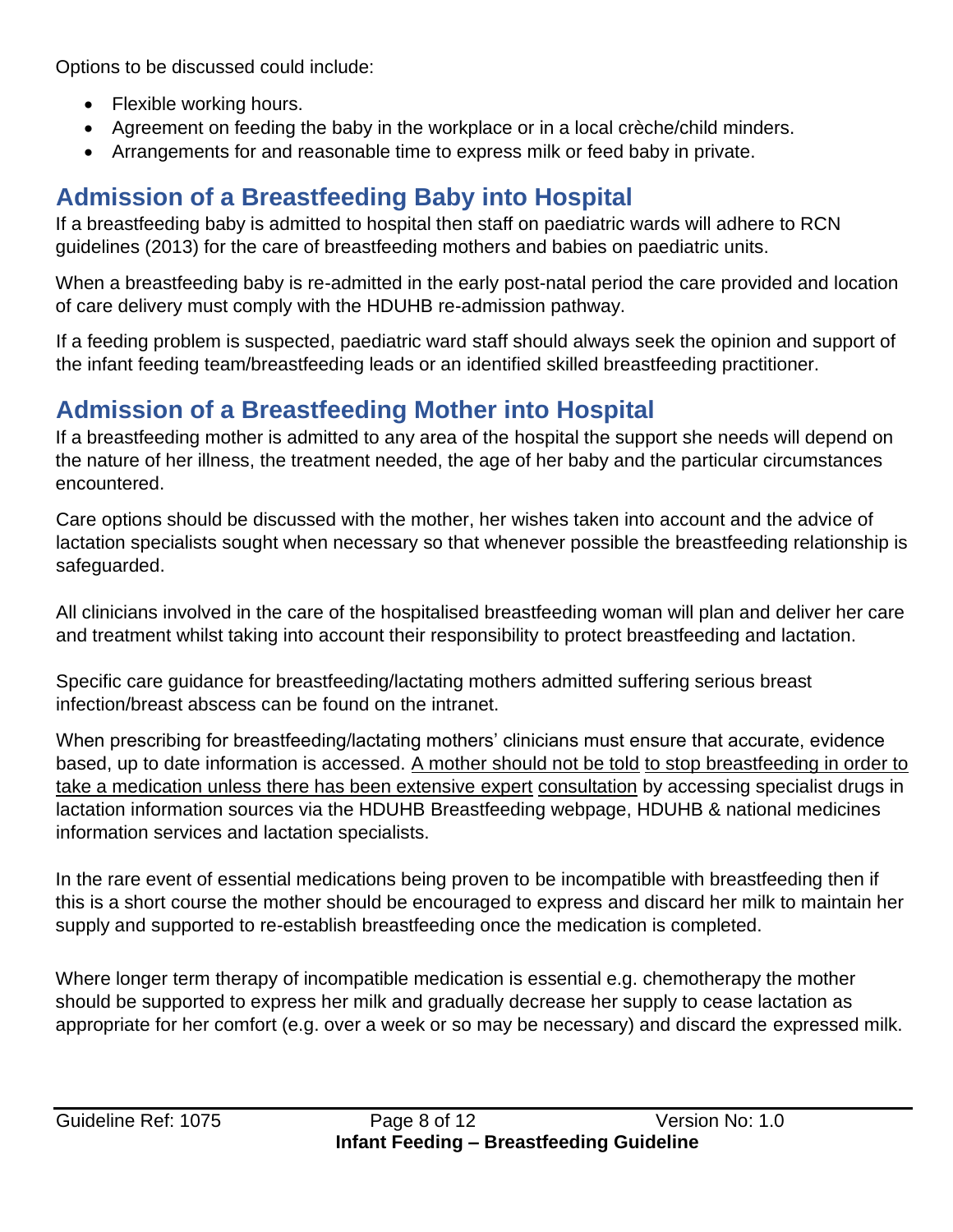Options to be discussed could include:

- Flexible working hours.
- Agreement on feeding the baby in the workplace or in a local crèche/child minders.
- Arrangements for and reasonable time to express milk or feed baby in private.

# <span id="page-7-0"></span>**Admission of a Breastfeeding Baby into Hospital**

If a breastfeeding baby is admitted to hospital then staff on paediatric wards will adhere to RCN guidelines (2013) for the care of breastfeeding mothers and babies on paediatric units.

When a breastfeeding baby is re-admitted in the early post-natal period the care provided and location of care delivery must comply with the HDUHB re-admission pathway.

If a feeding problem is suspected, paediatric ward staff should always seek the opinion and support of the infant feeding team/breastfeeding leads or an identified skilled breastfeeding practitioner.

#### <span id="page-7-1"></span>**Admission of a Breastfeeding Mother into Hospital**

If a breastfeeding mother is admitted to any area of the hospital the support she needs will depend on the nature of her illness, the treatment needed, the age of her baby and the particular circumstances encountered.

Care options should be discussed with the mother, her wishes taken into account and the advice of lactation specialists sought when necessary so that whenever possible the breastfeeding relationship is safeguarded.

All clinicians involved in the care of the hospitalised breastfeeding woman will plan and deliver her care and treatment whilst taking into account their responsibility to protect breastfeeding and lactation.

Specific care guidance for breastfeeding/lactating mothers admitted suffering serious breast infection/breast abscess can be found on the intranet.

When prescribing for breastfeeding/lactating mothers' clinicians must ensure that accurate, evidence based, up to date information is accessed. A mother should not be told to stop breastfeeding in order to take a medication unless there has been extensive expert consultation by accessing specialist drugs in lactation information sources via the HDUHB Breastfeeding webpage, HDUHB & national medicines information services and lactation specialists.

In the rare event of essential medications being proven to be incompatible with breastfeeding then if this is a short course the mother should be encouraged to express and discard her milk to maintain her supply and supported to re-establish breastfeeding once the medication is completed.

Where longer term therapy of incompatible medication is essential e.g. chemotherapy the mother should be supported to express her milk and gradually decrease her supply to cease lactation as appropriate for her comfort (e.g. over a week or so may be necessary) and discard the expressed milk.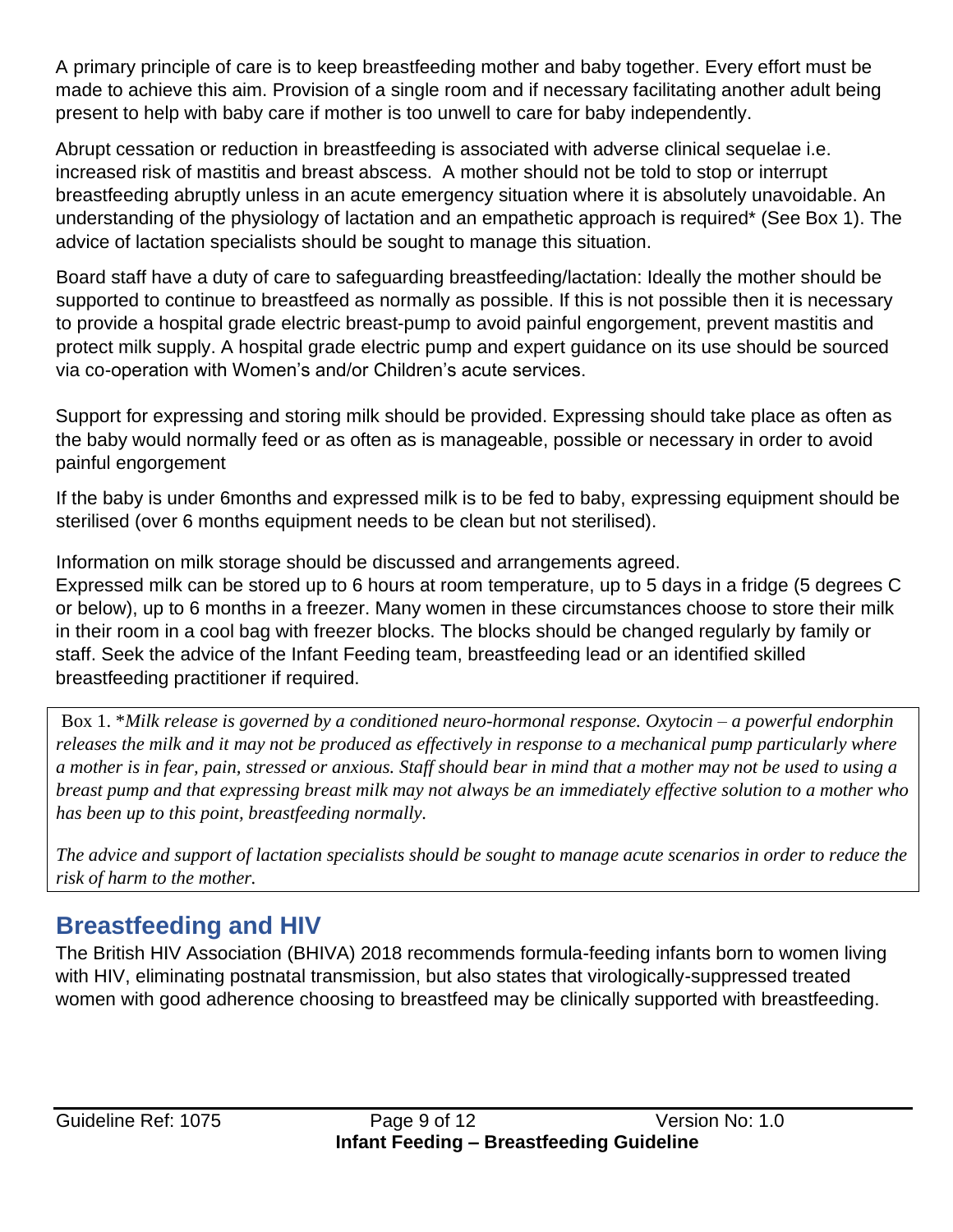A primary principle of care is to keep breastfeeding mother and baby together. Every effort must be made to achieve this aim. Provision of a single room and if necessary facilitating another adult being present to help with baby care if mother is too unwell to care for baby independently.

Abrupt cessation or reduction in breastfeeding is associated with adverse clinical sequelae i.e. increased risk of mastitis and breast abscess. A mother should not be told to stop or interrupt breastfeeding abruptly unless in an acute emergency situation where it is absolutely unavoidable. An understanding of the physiology of lactation and an empathetic approach is required\* (See Box 1). The advice of lactation specialists should be sought to manage this situation.

Board staff have a duty of care to safeguarding breastfeeding/lactation: Ideally the mother should be supported to continue to breastfeed as normally as possible. If this is not possible then it is necessary to provide a hospital grade electric breast-pump to avoid painful engorgement, prevent mastitis and protect milk supply. A hospital grade electric pump and expert guidance on its use should be sourced via co-operation with Women's and/or Children's acute services.

Support for expressing and storing milk should be provided. Expressing should take place as often as the baby would normally feed or as often as is manageable, possible or necessary in order to avoid painful engorgement

If the baby is under 6months and expressed milk is to be fed to baby, expressing equipment should be sterilised (over 6 months equipment needs to be clean but not sterilised).

Information on milk storage should be discussed and arrangements agreed.

Expressed milk can be stored up to 6 hours at room temperature, up to 5 days in a fridge (5 degrees C or below), up to 6 months in a freezer. Many women in these circumstances choose to store their milk in their room in a cool bag with freezer blocks. The blocks should be changed regularly by family or staff. Seek the advice of the Infant Feeding team, breastfeeding lead or an identified skilled breastfeeding practitioner if required.

Box 1. \**Milk release is governed by a conditioned neuro-hormonal response. Oxytocin – a powerful endorphin*  releases the milk and it may not be produced as effectively in response to a mechanical pump particularly where *a mother is in fear, pain, stressed or anxious. Staff should bear in mind that a mother may not be used to using a breast pump and that expressing breast milk may not always be an immediately effective solution to a mother who has been up to this point, breastfeeding normally.* 

*The advice and support of lactation specialists should be sought to manage acute scenarios in order to reduce the risk of harm to the mother.*

#### <span id="page-8-0"></span>**Breastfeeding and HIV**

The British HIV Association (BHIVA) 2018 recommends formula-feeding infants born to women living with HIV, eliminating postnatal transmission, but also states that virologically-suppressed treated women with good adherence choosing to breastfeed may be clinically supported with breastfeeding.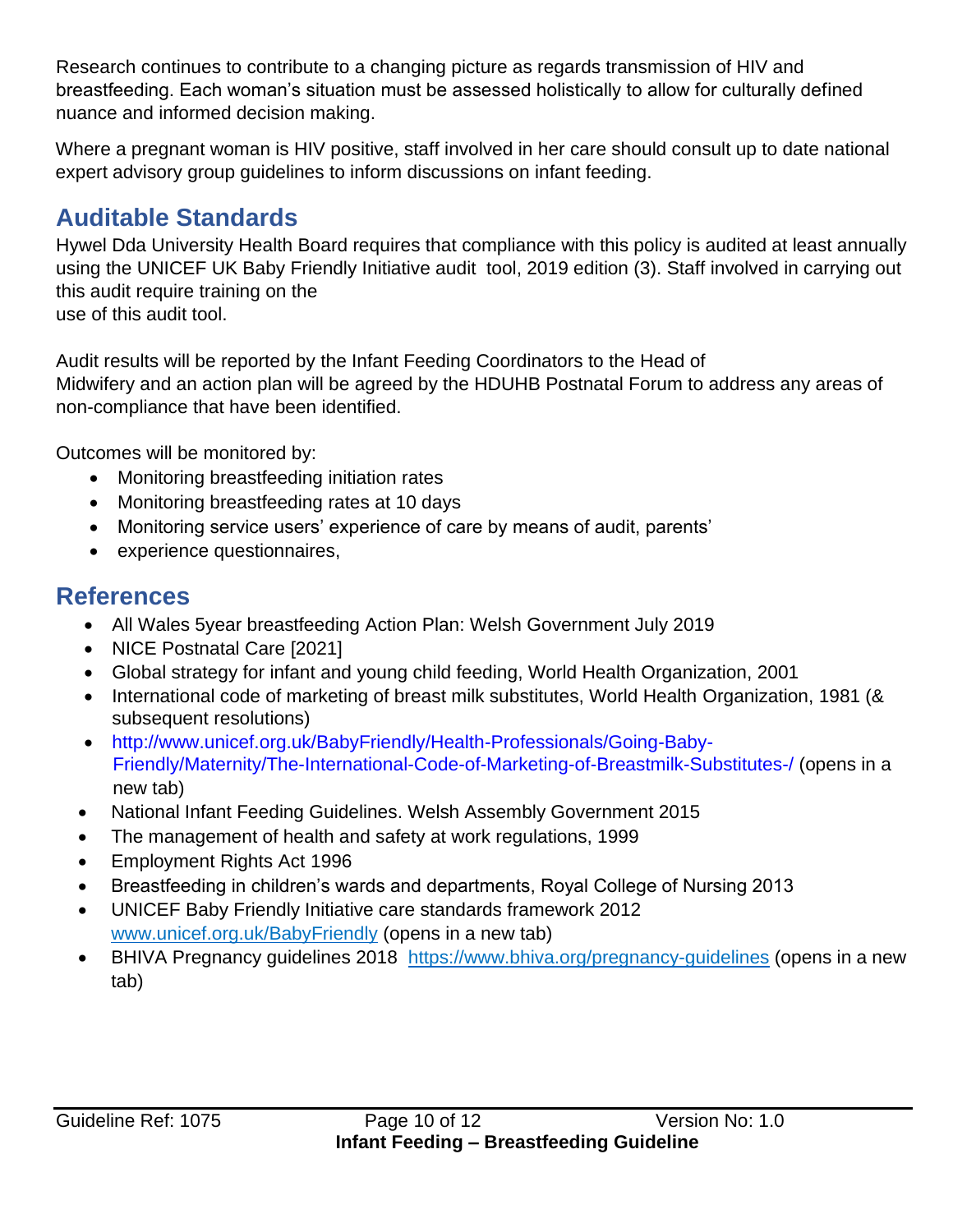Research continues to contribute to a changing picture as regards transmission of HIV and breastfeeding. Each woman's situation must be assessed holistically to allow for culturally defined nuance and informed decision making.

Where a pregnant woman is HIV positive, staff involved in her care should consult up to date national expert advisory group guidelines to inform discussions on infant feeding.

#### <span id="page-9-0"></span>**Auditable Standards**

Hywel Dda University Health Board requires that compliance with this policy is audited at least annually using the UNICEF UK Baby Friendly Initiative audit tool, 2019 edition (3). Staff involved in carrying out this audit require training on the use of this audit tool.

Audit results will be reported by the Infant Feeding Coordinators to the Head of Midwifery and an action plan will be agreed by the HDUHB Postnatal Forum to address any areas of non-compliance that have been identified.

Outcomes will be monitored by:

- Monitoring breastfeeding initiation rates
- Monitoring breastfeeding rates at 10 days
- Monitoring service users' experience of care by means of audit, parents'
- experience questionnaires,

#### <span id="page-9-1"></span>**References**

- All Wales 5year breastfeeding Action Plan: Welsh Government July 2019
- NICE Postnatal Care [2021]
- Global strategy for infant and young child feeding, World Health Organization, 2001
- International code of marketing of breast milk substitutes, World Health Organization, 1981 (& subsequent resolutions)
- http://www.unicef.org.uk/BabyFriendly/Health-Professionals/Going-Baby-Friendly/Maternity/The-International-Code-of-Marketing-of-Breastmilk-Substitutes-/ (opens in a new tab)
- National Infant Feeding Guidelines. Welsh Assembly Government 2015
- The management of health and safety at work regulations, 1999
- Employment Rights Act 1996
- Breastfeeding in children's wards and departments, Royal College of Nursing 2013
- UNICEF Baby Friendly Initiative care standards framework 2012 [www.unicef.org.uk/BabyFriendly](http://www.unicef.org.uk/BabyFriendly) (opens in a new tab)
- BHIVA Pregnancy guidelines 2018 <https://www.bhiva.org/pregnancy-guidelines> (opens in a new tab)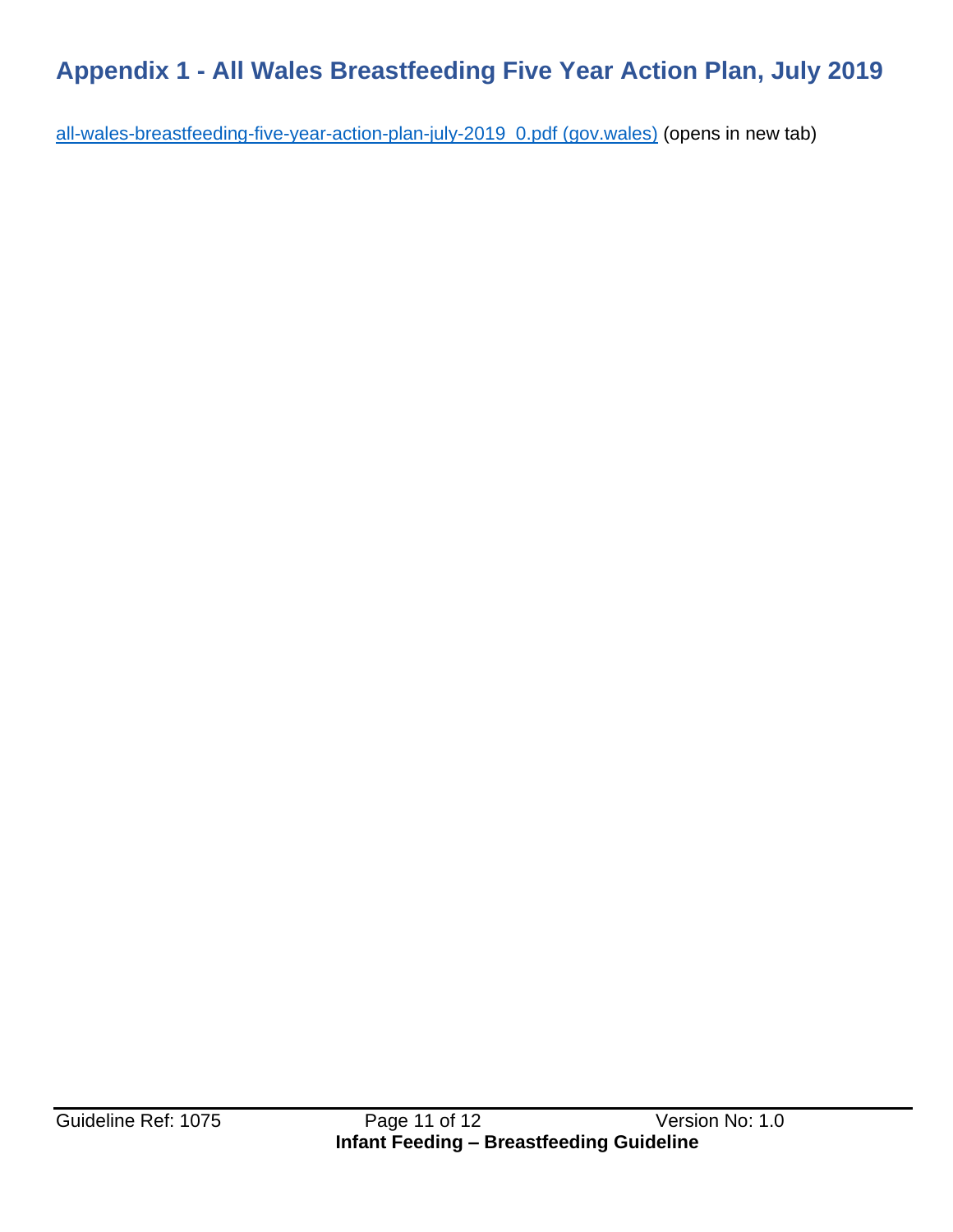## <span id="page-10-0"></span>**Appendix 1 - All Wales Breastfeeding Five Year Action Plan, July 2019**

[all-wales-breastfeeding-five-year-action-plan-july-2019\\_0.pdf \(gov.wales\)](https://gov.wales/sites/default/files/publications/2019-06/all-wales-breastfeeding-five-year-action-plan-july-2019_0.pdf) (opens in new tab)